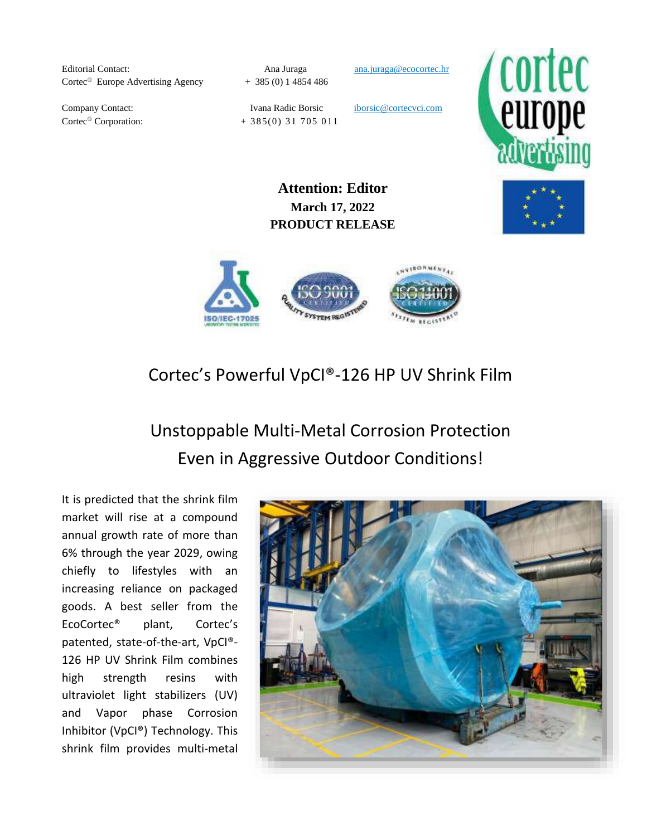Editorial Contact: **Ana Juraga** ana.juraga ana.juraga **ana.juraga**@ecocortec.hr Cortec<sup>®</sup> Europe Advertising Agency + 385 (0) 1 4854 486

Company Contact: Ivana Radic Borsic iborsic@cortecvci.com  $\text{Cortex}^{\textcircled{\tiny{\text{B}}}}$  Corporation:  $+ 385(0) 31 705 011$ 



**Attention: Editor March 17, 2022 PRODUCT RELEASE**



# Cortec's Powerful VpCI®-126 HP UV Shrink Film

Unstoppable Multi-Metal Corrosion Protection Even in Aggressive Outdoor Conditions!

It is predicted that the shrink film market will rise at a compound annual growth rate of more than 6% through the year 2029, owing chiefly to lifestyles with an increasing reliance on packaged goods. A best seller from the EcoCortec® plant, Cortec's patented, state-of-the-art, VpCI®- 126 HP UV Shrink Film combines high strength resins with ultraviolet light stabilizers (UV) and Vapor phase Corrosion Inhibitor (VpCI®) Technology. This shrink film provides multi-metal

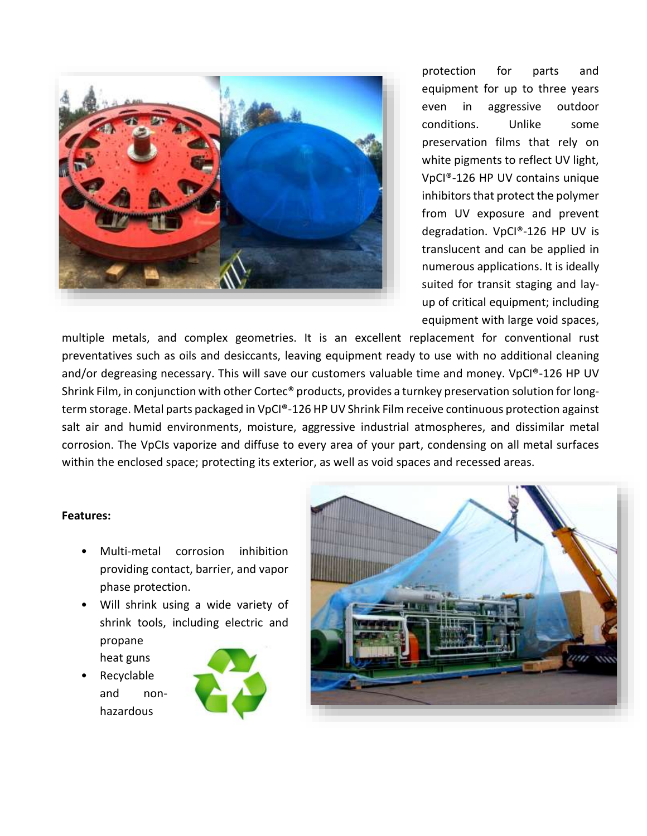

protection for parts and equipment for up to three years even in aggressive outdoor conditions. Unlike some preservation films that rely on white pigments to reflect UV light, VpCI®-126 HP UV contains unique inhibitors that protect the polymer from UV exposure and prevent degradation. VpCI®-126 HP UV is translucent and can be applied in numerous applications. It is ideally suited for transit staging and layup of critical equipment; including equipment with large void spaces,

multiple metals, and complex geometries. It is an excellent replacement for conventional rust preventatives such as oils and desiccants, leaving equipment ready to use with no additional cleaning and/or degreasing necessary. This will save our customers valuable time and money. VpCI®-126 HP UV Shrink Film, in conjunction with other Cortec® products, provides a turnkey preservation solution for longterm storage. Metal parts packaged in VpCI®-126 HP UV Shrink Film receive continuous protection against salt air and humid environments, moisture, aggressive industrial atmospheres, and dissimilar metal corrosion. The VpCIs vaporize and diffuse to every area of your part, condensing on all metal surfaces within the enclosed space; protecting its exterior, as well as void spaces and recessed areas.

#### **Features:**

- Multi-metal corrosion inhibition providing contact, barrier, and vapor phase protection.
- Will shrink using a wide variety of shrink tools, including electric and propane heat guns
- Recyclable and nonhazardous



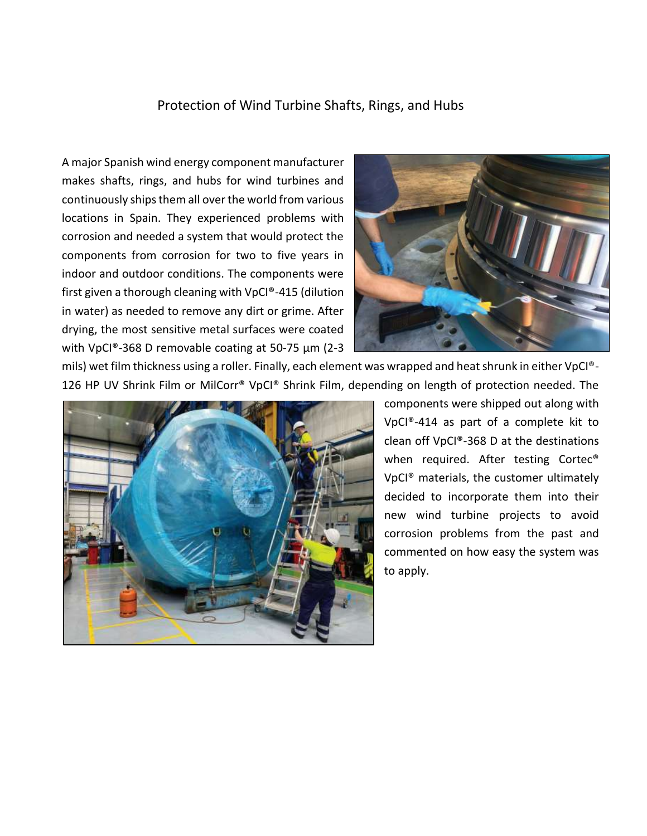### Protection of Wind Turbine Shafts, Rings, and Hubs

A major Spanish wind energy component manufacturer makes shafts, rings, and hubs for wind turbines and continuously ships them all over the world from various locations in Spain. They experienced problems with corrosion and needed a system that would protect the components from corrosion for two to five years in indoor and outdoor conditions. The components were first given a thorough cleaning with VpCI®-415 (dilution in water) as needed to remove any dirt or grime. After drying, the most sensitive metal surfaces were coated with VpCI®-368 D removable coating at 50-75 µm (2-3



mils) wet film thickness using a roller. Finally, each element was wrapped and heat shrunk in either VpCI®- 126 HP UV Shrink Film or MilCorr® VpCI® Shrink Film, depending on length of protection needed. The



components were shipped out along with VpCI®-414 as part of a complete kit to clean off VpCI®-368 D at the destinations when required. After testing Cortec<sup>®</sup> VpCI® materials, the customer ultimately decided to incorporate them into their new wind turbine projects to avoid corrosion problems from the past and commented on how easy the system was to apply.